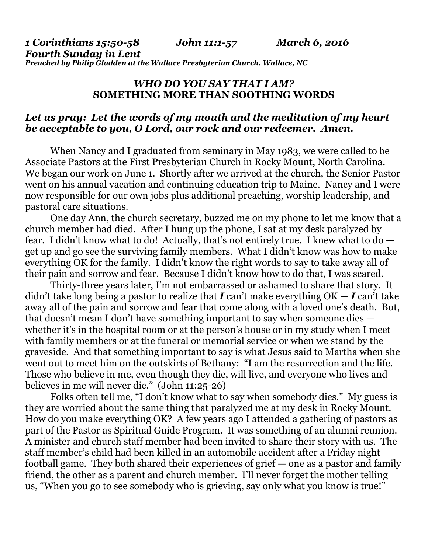*1 Corinthians 15:50-58 John 11:1-57 March 6, 2016 Fourth Sunday in Lent Preached by Philip Gladden at the Wallace Presbyterian Church, Wallace, NC* 

## *WHO DO YOU SAY THAT I AM?*  **SOMETHING MORE THAN SOOTHING WORDS**

## *Let us pray: Let the words of my mouth and the meditation of my heart be acceptable to you, O Lord, our rock and our redeemer. Amen.*

When Nancy and I graduated from seminary in May 1983, we were called to be Associate Pastors at the First Presbyterian Church in Rocky Mount, North Carolina. We began our work on June 1. Shortly after we arrived at the church, the Senior Pastor went on his annual vacation and continuing education trip to Maine. Nancy and I were now responsible for our own jobs plus additional preaching, worship leadership, and pastoral care situations.

 One day Ann, the church secretary, buzzed me on my phone to let me know that a church member had died. After I hung up the phone, I sat at my desk paralyzed by fear. I didn't know what to do! Actually, that's not entirely true. I knew what to do get up and go see the surviving family members. What I didn't know was how to make everything OK for the family. I didn't know the right words to say to take away all of their pain and sorrow and fear. Because I didn't know how to do that, I was scared.

 Thirty-three years later, I'm not embarrassed or ashamed to share that story. It didn't take long being a pastor to realize that *I* can't make everything OK — *I* can't take away all of the pain and sorrow and fear that come along with a loved one's death. But, that doesn't mean I don't have something important to say when someone dies whether it's in the hospital room or at the person's house or in my study when I meet with family members or at the funeral or memorial service or when we stand by the graveside. And that something important to say is what Jesus said to Martha when she went out to meet him on the outskirts of Bethany: "I am the resurrection and the life. Those who believe in me, even though they die, will live, and everyone who lives and believes in me will never die." (John 11:25-26)

 Folks often tell me, "I don't know what to say when somebody dies." My guess is they are worried about the same thing that paralyzed me at my desk in Rocky Mount. How do you make everything OK? A few years ago I attended a gathering of pastors as part of the Pastor as Spiritual Guide Program. It was something of an alumni reunion. A minister and church staff member had been invited to share their story with us. The staff member's child had been killed in an automobile accident after a Friday night football game. They both shared their experiences of grief — one as a pastor and family friend, the other as a parent and church member. I'll never forget the mother telling us, "When you go to see somebody who is grieving, say only what you know is true!"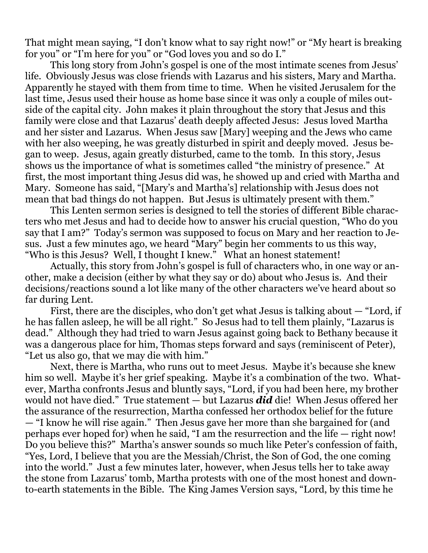That might mean saying, "I don't know what to say right now!" or "My heart is breaking for you" or "I'm here for you" or "God loves you and so do I."

 This long story from John's gospel is one of the most intimate scenes from Jesus' life. Obviously Jesus was close friends with Lazarus and his sisters, Mary and Martha. Apparently he stayed with them from time to time. When he visited Jerusalem for the last time, Jesus used their house as home base since it was only a couple of miles outside of the capital city. John makes it plain throughout the story that Jesus and this family were close and that Lazarus' death deeply affected Jesus: Jesus loved Martha and her sister and Lazarus. When Jesus saw [Mary] weeping and the Jews who came with her also weeping, he was greatly disturbed in spirit and deeply moved. Jesus began to weep. Jesus, again greatly disturbed, came to the tomb. In this story, Jesus shows us the importance of what is sometimes called "the ministry of presence." At first, the most important thing Jesus did was, he showed up and cried with Martha and Mary. Someone has said, "[Mary's and Martha's] relationship with Jesus does not mean that bad things do not happen. But Jesus is ultimately present with them."

 This Lenten sermon series is designed to tell the stories of different Bible characters who met Jesus and had to decide how to answer his crucial question, "Who do you say that I am?" Today's sermon was supposed to focus on Mary and her reaction to Jesus. Just a few minutes ago, we heard "Mary" begin her comments to us this way, "Who is this Jesus? Well, I thought I knew." What an honest statement!

 Actually, this story from John's gospel is full of characters who, in one way or another, make a decision (either by what they say or do) about who Jesus is. And their decisions/reactions sound a lot like many of the other characters we've heard about so far during Lent.

 First, there are the disciples, who don't get what Jesus is talking about — "Lord, if he has fallen asleep, he will be all right." So Jesus had to tell them plainly, "Lazarus is dead." Although they had tried to warn Jesus against going back to Bethany because it was a dangerous place for him, Thomas steps forward and says (reminiscent of Peter), "Let us also go, that we may die with him."

 Next, there is Martha, who runs out to meet Jesus. Maybe it's because she knew him so well. Maybe it's her grief speaking. Maybe it's a combination of the two. Whatever, Martha confronts Jesus and bluntly says, "Lord, if you had been here, my brother would not have died." True statement — but Lazarus *did* die! When Jesus offered her the assurance of the resurrection, Martha confessed her orthodox belief for the future — "I know he will rise again." Then Jesus gave her more than she bargained for (and perhaps ever hoped for) when he said, "I am the resurrection and the life — right now! Do you believe this?" Martha's answer sounds so much like Peter's confession of faith, "Yes, Lord, I believe that you are the Messiah/Christ, the Son of God, the one coming into the world." Just a few minutes later, however, when Jesus tells her to take away the stone from Lazarus' tomb, Martha protests with one of the most honest and downto-earth statements in the Bible. The King James Version says, "Lord, by this time he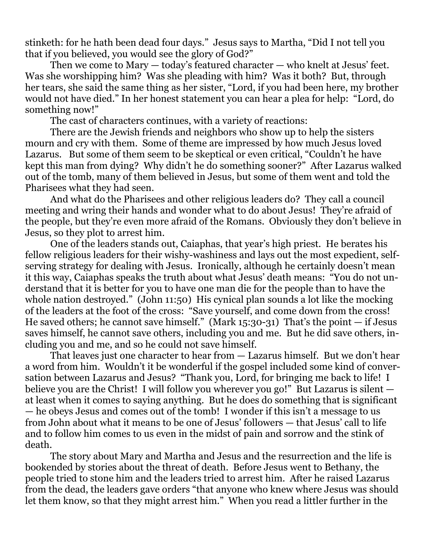stinketh: for he hath been dead four days." Jesus says to Martha, "Did I not tell you that if you believed, you would see the glory of God?"

 Then we come to Mary — today's featured character — who knelt at Jesus' feet. Was she worshipping him? Was she pleading with him? Was it both? But, through her tears, she said the same thing as her sister, "Lord, if you had been here, my brother would not have died." In her honest statement you can hear a plea for help: "Lord, do something now!"

The cast of characters continues, with a variety of reactions:

 There are the Jewish friends and neighbors who show up to help the sisters mourn and cry with them. Some of theme are impressed by how much Jesus loved Lazarus. But some of them seem to be skeptical or even critical, "Couldn't he have kept this man from dying? Why didn't he do something sooner?" After Lazarus walked out of the tomb, many of them believed in Jesus, but some of them went and told the Pharisees what they had seen.

 And what do the Pharisees and other religious leaders do? They call a council meeting and wring their hands and wonder what to do about Jesus! They're afraid of the people, but they're even more afraid of the Romans. Obviously they don't believe in Jesus, so they plot to arrest him.

 One of the leaders stands out, Caiaphas, that year's high priest. He berates his fellow religious leaders for their wishy-washiness and lays out the most expedient, selfserving strategy for dealing with Jesus. Ironically, although he certainly doesn't mean it this way, Caiaphas speaks the truth about what Jesus' death means: "You do not understand that it is better for you to have one man die for the people than to have the whole nation destroyed." (John 11:50) His cynical plan sounds a lot like the mocking of the leaders at the foot of the cross: "Save yourself, and come down from the cross! He saved others; he cannot save himself." (Mark  $15:30-31$ ) That's the point  $-$  if Jesus saves himself, he cannot save others, including you and me. But he did save others, including you and me, and so he could not save himself.

 That leaves just one character to hear from — Lazarus himself. But we don't hear a word from him. Wouldn't it be wonderful if the gospel included some kind of conversation between Lazarus and Jesus? "Thank you, Lord, for bringing me back to life! I believe you are the Christ! I will follow you wherever you go!" But Lazarus is silent at least when it comes to saying anything. But he does do something that is significant — he obeys Jesus and comes out of the tomb! I wonder if this isn't a message to us from John about what it means to be one of Jesus' followers — that Jesus' call to life and to follow him comes to us even in the midst of pain and sorrow and the stink of death.

 The story about Mary and Martha and Jesus and the resurrection and the life is bookended by stories about the threat of death. Before Jesus went to Bethany, the people tried to stone him and the leaders tried to arrest him. After he raised Lazarus from the dead, the leaders gave orders "that anyone who knew where Jesus was should let them know, so that they might arrest him." When you read a littler further in the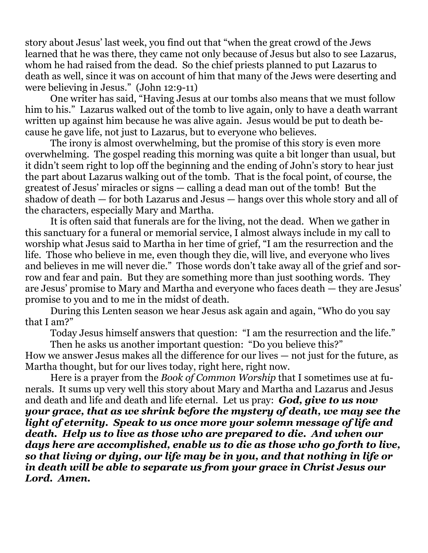story about Jesus' last week, you find out that "when the great crowd of the Jews learned that he was there, they came not only because of Jesus but also to see Lazarus, whom he had raised from the dead. So the chief priests planned to put Lazarus to death as well, since it was on account of him that many of the Jews were deserting and were believing in Jesus." (John 12:9-11)

 One writer has said, "Having Jesus at our tombs also means that we must follow him to his." Lazarus walked out of the tomb to live again, only to have a death warrant written up against him because he was alive again. Jesus would be put to death because he gave life, not just to Lazarus, but to everyone who believes.

 The irony is almost overwhelming, but the promise of this story is even more overwhelming. The gospel reading this morning was quite a bit longer than usual, but it didn't seem right to lop off the beginning and the ending of John's story to hear just the part about Lazarus walking out of the tomb. That is the focal point, of course, the greatest of Jesus' miracles or signs — calling a dead man out of the tomb! But the shadow of death — for both Lazarus and Jesus — hangs over this whole story and all of the characters, especially Mary and Martha.

 It is often said that funerals are for the living, not the dead. When we gather in this sanctuary for a funeral or memorial service, I almost always include in my call to worship what Jesus said to Martha in her time of grief, "I am the resurrection and the life. Those who believe in me, even though they die, will live, and everyone who lives and believes in me will never die." Those words don't take away all of the grief and sorrow and fear and pain. But they are something more than just soothing words. They are Jesus' promise to Mary and Martha and everyone who faces death — they are Jesus' promise to you and to me in the midst of death.

 During this Lenten season we hear Jesus ask again and again, "Who do you say that I am?"

Today Jesus himself answers that question: "I am the resurrection and the life."

 Then he asks us another important question: "Do you believe this?" How we answer Jesus makes all the difference for our lives — not just for the future, as Martha thought, but for our lives today, right here, right now.

 Here is a prayer from the *Book of Common Worship* that I sometimes use at funerals. It sums up very well this story about Mary and Martha and Lazarus and Jesus and death and life and death and life eternal. Let us pray: *God, give to us now your grace, that as we shrink before the mystery of death, we may see the light of eternity. Speak to us once more your solemn message of life and death. Help us to live as those who are prepared to die. And when our days here are accomplished, enable us to die as those who go forth to live, so that living or dying, our life may be in you, and that nothing in life or in death will be able to separate us from your grace in Christ Jesus our Lord. Amen.*